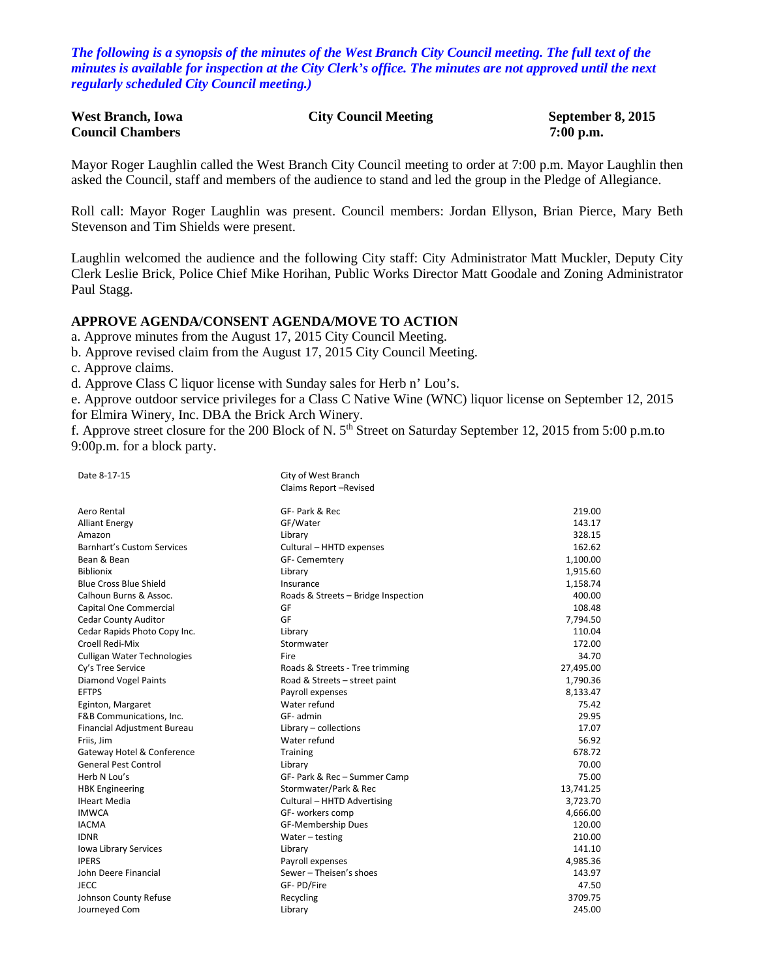*The following is a synopsis of the minutes of the West Branch City Council meeting. The full text of the minutes is available for inspection at the City Clerk's office. The minutes are not approved until the next regularly scheduled City Council meeting.)*

| <b>West Branch, Iowa</b> | <b>City Council Meeting</b> | September 8, 2015 |
|--------------------------|-----------------------------|-------------------|
| <b>Council Chambers</b>  |                             | $7:00$ p.m.       |

Mayor Roger Laughlin called the West Branch City Council meeting to order at 7:00 p.m. Mayor Laughlin then asked the Council, staff and members of the audience to stand and led the group in the Pledge of Allegiance.

Roll call: Mayor Roger Laughlin was present. Council members: Jordan Ellyson, Brian Pierce, Mary Beth Stevenson and Tim Shields were present.

Laughlin welcomed the audience and the following City staff: City Administrator Matt Muckler, Deputy City Clerk Leslie Brick, Police Chief Mike Horihan, Public Works Director Matt Goodale and Zoning Administrator Paul Stagg.

#### **APPROVE AGENDA/CONSENT AGENDA/MOVE TO ACTION**

a. Approve minutes from the August 17, 2015 City Council Meeting.

b. Approve revised claim from the August 17, 2015 City Council Meeting.

c. Approve claims.

d. Approve Class C liquor license with Sunday sales for Herb n' Lou's.

e. Approve outdoor service privileges for a Class C Native Wine (WNC) liquor license on September 12, 2015 for Elmira Winery, Inc. DBA the Brick Arch Winery.

f. Approve street closure for the 200 Block of N. 5th Street on Saturday September 12, 2015 from 5:00 p.m.to 9:00p.m. for a block party.

| Date 8-17-15                      | City of West Branch                 |           |
|-----------------------------------|-------------------------------------|-----------|
|                                   | Claims Report-Revised               |           |
|                                   |                                     |           |
| Aero Rental                       | GF- Park & Rec                      | 219.00    |
| <b>Alliant Energy</b>             | GF/Water                            | 143.17    |
| Amazon                            | Library                             | 328.15    |
| <b>Barnhart's Custom Services</b> | Cultural - HHTD expenses            | 162.62    |
| Bean & Bean                       | GF- Cememtery                       | 1,100.00  |
| <b>Biblionix</b>                  | Library                             | 1,915.60  |
| <b>Blue Cross Blue Shield</b>     | Insurance                           | 1,158.74  |
| Calhoun Burns & Assoc.            | Roads & Streets - Bridge Inspection | 400.00    |
| Capital One Commercial            | GF                                  | 108.48    |
| <b>Cedar County Auditor</b>       | GF                                  | 7,794.50  |
| Cedar Rapids Photo Copy Inc.      | Library                             | 110.04    |
| Croell Redi-Mix                   | Stormwater                          | 172.00    |
| Culligan Water Technologies       | Fire                                | 34.70     |
| Cy's Tree Service                 | Roads & Streets - Tree trimming     | 27,495.00 |
| <b>Diamond Vogel Paints</b>       | Road & Streets - street paint       | 1,790.36  |
| <b>EFTPS</b>                      | Payroll expenses                    | 8,133.47  |
| Eginton, Margaret                 | Water refund                        | 75.42     |
| F&B Communications, Inc.          | GF- admin                           | 29.95     |
| Financial Adjustment Bureau       | Library - collections               | 17.07     |
| Friis, Jim                        | Water refund                        | 56.92     |
| Gateway Hotel & Conference        | Training                            | 678.72    |
| <b>General Pest Control</b>       | Library                             | 70.00     |
| Herb N Lou's                      | GF- Park & Rec - Summer Camp        | 75.00     |
| <b>HBK</b> Engineering            | Stormwater/Park & Rec               | 13,741.25 |
| <b>IHeart Media</b>               | Cultural - HHTD Advertising         | 3,723.70  |
| <b>IMWCA</b>                      | GF- workers comp                    | 4,666.00  |
| <b>IACMA</b>                      | GF-Membership Dues                  | 120.00    |
| <b>IDNR</b>                       | Water - testing                     | 210.00    |
| Iowa Library Services             | Library                             | 141.10    |
| <b>IPERS</b>                      | Payroll expenses                    | 4,985.36  |
| John Deere Financial              | Sewer - Theisen's shoes             | 143.97    |
| <b>JECC</b>                       | GF-PD/Fire                          | 47.50     |
| Johnson County Refuse             | Recycling                           | 3709.75   |
| Journeyed Com                     | Library                             | 245.00    |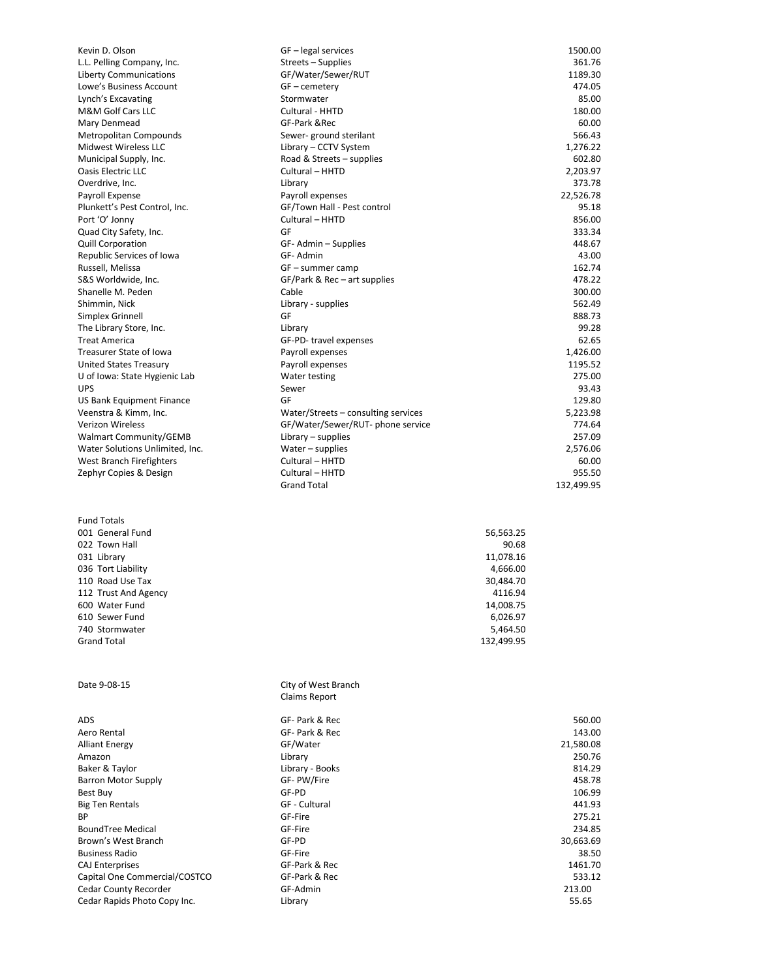| Kevin D. Olson                                     | GF-legal services                         |                       | 1500.00           |
|----------------------------------------------------|-------------------------------------------|-----------------------|-------------------|
| L.L. Pelling Company, Inc.                         | Streets - Supplies                        |                       | 361.76            |
| <b>Liberty Communications</b>                      | GF/Water/Sewer/RUT                        |                       | 1189.30           |
| Lowe's Business Account                            | GF - cemetery                             |                       | 474.05            |
| Lynch's Excavating                                 | Stormwater                                |                       | 85.00             |
| M&M Golf Cars LLC<br>Mary Denmead                  | Cultural - HHTD<br>GF-Park & Rec          |                       | 180.00<br>60.00   |
| Metropolitan Compounds                             | Sewer-ground sterilant                    |                       | 566.43            |
| Midwest Wireless LLC                               | Library - CCTV System                     |                       | 1,276.22          |
| Municipal Supply, Inc.                             | Road & Streets - supplies                 |                       | 602.80            |
| Oasis Electric LLC                                 | Cultural - HHTD                           |                       | 2,203.97          |
| Overdrive, Inc.                                    | Library                                   |                       | 373.78            |
| Payroll Expense                                    | Payroll expenses                          |                       | 22,526.78         |
| Plunkett's Pest Control, Inc.                      | GF/Town Hall - Pest control               |                       | 95.18             |
| Port 'O' Jonny                                     | Cultural - HHTD<br>GF                     |                       | 856.00            |
| Quad City Safety, Inc.<br><b>Quill Corporation</b> | GF-Admin-Supplies                         |                       | 333.34<br>448.67  |
| Republic Services of Iowa                          | GF-Admin                                  |                       | 43.00             |
| Russell, Melissa                                   | GF – summer camp                          |                       | 162.74            |
| S&S Worldwide, Inc.                                | $GF/Park \& Rec - art supplies$           |                       | 478.22            |
| Shanelle M. Peden                                  | Cable                                     |                       | 300.00            |
| Shimmin, Nick                                      | Library - supplies                        |                       | 562.49            |
| Simplex Grinnell                                   | GF                                        |                       | 888.73            |
| The Library Store, Inc.<br><b>Treat America</b>    | Library                                   |                       | 99.28             |
| <b>Treasurer State of Iowa</b>                     | GF-PD-travel expenses<br>Payroll expenses |                       | 62.65<br>1,426.00 |
| United States Treasury                             | Payroll expenses                          |                       | 1195.52           |
| U of Iowa: State Hygienic Lab                      | Water testing                             |                       | 275.00            |
| <b>UPS</b>                                         | Sewer                                     |                       | 93.43             |
| US Bank Equipment Finance                          | GF                                        |                       | 129.80            |
| Veenstra & Kimm, Inc.                              | Water/Streets – consulting services       |                       | 5,223.98          |
| Verizon Wireless                                   | GF/Water/Sewer/RUT-phone service          |                       | 774.64            |
| <b>Walmart Community/GEMB</b>                      | Library $-$ supplies                      |                       | 257.09            |
| Water Solutions Unlimited, Inc.                    | Water - supplies<br>Cultural - HHTD       |                       | 2,576.06          |
| West Branch Firefighters<br>Zephyr Copies & Design | Cultural - HHTD                           |                       | 60.00<br>955.50   |
|                                                    | <b>Grand Total</b>                        |                       | 132,499.95        |
|                                                    |                                           |                       |                   |
| <b>Fund Totals</b>                                 |                                           |                       |                   |
| 001 General Fund                                   |                                           | 56,563.25             |                   |
| 022 Town Hall                                      |                                           | 90.68                 |                   |
| 031 Library                                        |                                           | 11,078.16             |                   |
| 036 Tort Liability                                 |                                           | 4,666.00              |                   |
| 110 Road Use Tax                                   |                                           | 30,484.70             |                   |
| 112 Trust And Agency                               |                                           | 4116.94               |                   |
| 600 Water Fund<br>610 Sewer Fund                   |                                           | 14,008.75<br>6,026.97 |                   |
| 740 Stormwater                                     |                                           | 5,464.50              |                   |
| <b>Grand Total</b>                                 |                                           | 132,499.95            |                   |
|                                                    |                                           |                       |                   |
|                                                    |                                           |                       |                   |
| Date 9-08-15                                       | City of West Branch                       |                       |                   |
|                                                    | <b>Claims Report</b>                      |                       |                   |
| ADS                                                | GF- Park & Rec                            |                       | 560.00            |
| Aero Rental                                        | GF- Park & Rec                            |                       | 143.00            |
| <b>Alliant Energy</b>                              | GF/Water                                  |                       | 21,580.08         |
| Amazon                                             | Library                                   |                       | 250.76            |
| Baker & Taylor                                     | Library - Books                           |                       | 814.29            |
| <b>Barron Motor Supply</b><br>Best Buy             | GF-PW/Fire<br>GF-PD                       |                       | 458.78<br>106.99  |
| <b>Big Ten Rentals</b>                             | GF - Cultural                             |                       | 441.93            |
| <b>BP</b>                                          | GF-Fire                                   |                       | 275.21            |
| <b>BoundTree Medical</b>                           | GF-Fire                                   |                       | 234.85            |
| Brown's West Branch                                | GF-PD                                     |                       | 30,663.69         |
| <b>Business Radio</b>                              | GF-Fire                                   |                       | 38.50             |
| <b>CAJ Enterprises</b>                             | GF-Park & Rec                             |                       | 1461.70           |
| Capital One Commercial/COSTCO                      | GF-Park & Rec                             |                       | 533.12            |
| <b>Cedar County Recorder</b>                       | GF-Admin                                  |                       | 213.00            |
| Cedar Rapids Photo Copy Inc.                       | Library                                   |                       | 55.65             |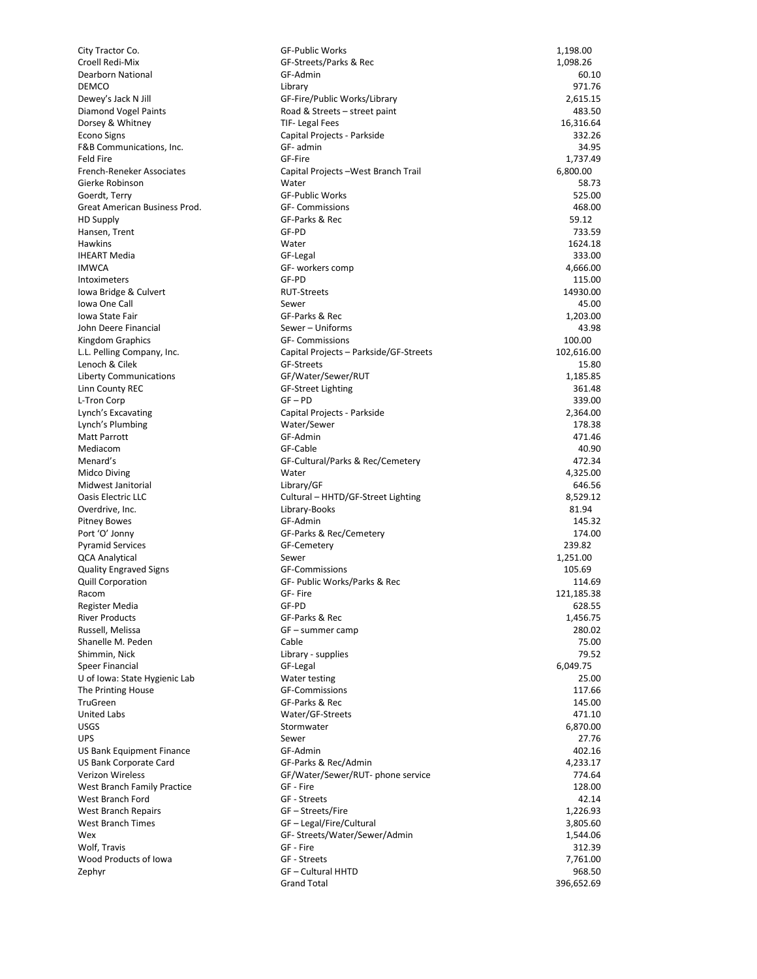| City Tractor Co.              | <b>GF-Public Works</b>                 | 1,198.00   |
|-------------------------------|----------------------------------------|------------|
| Croell Redi-Mix               | GF-Streets/Parks & Rec                 | 1,098.26   |
| <b>Dearborn National</b>      | GF-Admin                               | 60.10      |
| <b>DEMCO</b>                  | Library                                | 971.76     |
| Dewey's Jack N Jill           | GF-Fire/Public Works/Library           | 2,615.15   |
| Diamond Vogel Paints          | Road & Streets - street paint          | 483.50     |
| Dorsey & Whitney              | TIF- Legal Fees                        | 16,316.64  |
| <b>Econo Signs</b>            |                                        | 332.26     |
|                               | Capital Projects - Parkside            |            |
| F&B Communications, Inc.      | GF- admin                              | 34.95      |
| <b>Feld Fire</b>              | GF-Fire                                | 1,737.49   |
| French-Reneker Associates     | Capital Projects-West Branch Trail     | 6,800.00   |
| Gierke Robinson               | Water                                  | 58.73      |
| Goerdt, Terry                 | <b>GF-Public Works</b>                 | 525.00     |
| Great American Business Prod. | <b>GF- Commissions</b>                 | 468.00     |
| <b>HD Supply</b>              | GF-Parks & Rec                         | 59.12      |
| Hansen, Trent                 | GF-PD                                  | 733.59     |
| Hawkins                       | Water                                  | 1624.18    |
| <b>IHEART Media</b>           | GF-Legal                               | 333.00     |
|                               |                                        |            |
| <b>IMWCA</b>                  | GF- workers comp                       | 4,666.00   |
| Intoximeters                  | GF-PD                                  | 115.00     |
| Iowa Bridge & Culvert         | <b>RUT-Streets</b>                     | 14930.00   |
| Iowa One Call                 | Sewer                                  | 45.00      |
| Iowa State Fair               | GF-Parks & Rec                         | 1,203.00   |
| John Deere Financial          | Sewer - Uniforms                       | 43.98      |
| Kingdom Graphics              | <b>GF- Commissions</b>                 | 100.00     |
| L.L. Pelling Company, Inc.    | Capital Projects - Parkside/GF-Streets | 102,616.00 |
|                               | <b>GF-Streets</b>                      | 15.80      |
| Lenoch & Cilek                |                                        |            |
| <b>Liberty Communications</b> | GF/Water/Sewer/RUT                     | 1,185.85   |
| Linn County REC               | <b>GF-Street Lighting</b>              | 361.48     |
| L-Tron Corp                   | $GF - PD$                              | 339.00     |
| Lynch's Excavating            | Capital Projects - Parkside            | 2,364.00   |
| Lynch's Plumbing              | Water/Sewer                            | 178.38     |
| <b>Matt Parrott</b>           | GF-Admin                               | 471.46     |
| Mediacom                      | GF-Cable                               | 40.90      |
| Menard's                      | GF-Cultural/Parks & Rec/Cemetery       | 472.34     |
|                               |                                        |            |
| Midco Diving                  | Water                                  | 4,325.00   |
| Midwest Janitorial            | Library/GF                             | 646.56     |
| Oasis Electric LLC            | Cultural - HHTD/GF-Street Lighting     | 8,529.12   |
| Overdrive, Inc.               | Library-Books                          | 81.94      |
| <b>Pitney Bowes</b>           | GF-Admin                               | 145.32     |
| Port 'O' Jonny                | GF-Parks & Rec/Cemetery                | 174.00     |
| <b>Pyramid Services</b>       | GF-Cemetery                            | 239.82     |
| <b>QCA Analytical</b>         | Sewer                                  | 1,251.00   |
| <b>Quality Engraved Signs</b> | <b>GF-Commissions</b>                  | 105.69     |
|                               |                                        | 114.69     |
| <b>Quill Corporation</b>      | GF- Public Works/Parks & Rec           |            |
| Racom                         | GF- Fire                               | 121,185.38 |
| Register Media                | GF-PD                                  | 628.55     |
| <b>River Products</b>         | GF-Parks & Rec                         | 1,456.75   |
| Russell, Melissa              | GF – summer camp                       | 280.02     |
| Shanelle M. Peden             | Cable                                  | 75.00      |
| Shimmin, Nick                 | Library - supplies                     | 79.52      |
| <b>Speer Financial</b>        | GF-Legal                               | 6,049.75   |
| U of Iowa: State Hygienic Lab | Water testing                          | 25.00      |
|                               |                                        |            |
| The Printing House            | <b>GF-Commissions</b>                  | 117.66     |
| <b>TruGreen</b>               | GF-Parks & Rec                         | 145.00     |
| United Labs                   | Water/GF-Streets                       | 471.10     |
| <b>USGS</b>                   | Stormwater                             | 6,870.00   |
| <b>UPS</b>                    | Sewer                                  | 27.76      |
| US Bank Equipment Finance     | GF-Admin                               | 402.16     |
| US Bank Corporate Card        | GF-Parks & Rec/Admin                   | 4,233.17   |
| <b>Verizon Wireless</b>       | GF/Water/Sewer/RUT- phone service      | 774.64     |
|                               | GF - Fire                              | 128.00     |
| West Branch Family Practice   |                                        |            |
| West Branch Ford              | GF - Streets                           | 42.14      |
| West Branch Repairs           | GF – Streets/Fire                      | 1,226.93   |
| West Branch Times             | GF - Legal/Fire/Cultural               | 3,805.60   |
| Wex                           | GF-Streets/Water/Sewer/Admin           | 1,544.06   |
| Wolf, Travis                  | GF - Fire                              | 312.39     |
| Wood Products of Iowa         | GF - Streets                           | 7,761.00   |
| Zephyr                        | <b>GF-Cultural HHTD</b>                | 968.50     |
|                               | <b>Grand Total</b>                     | 396,652.69 |
|                               |                                        |            |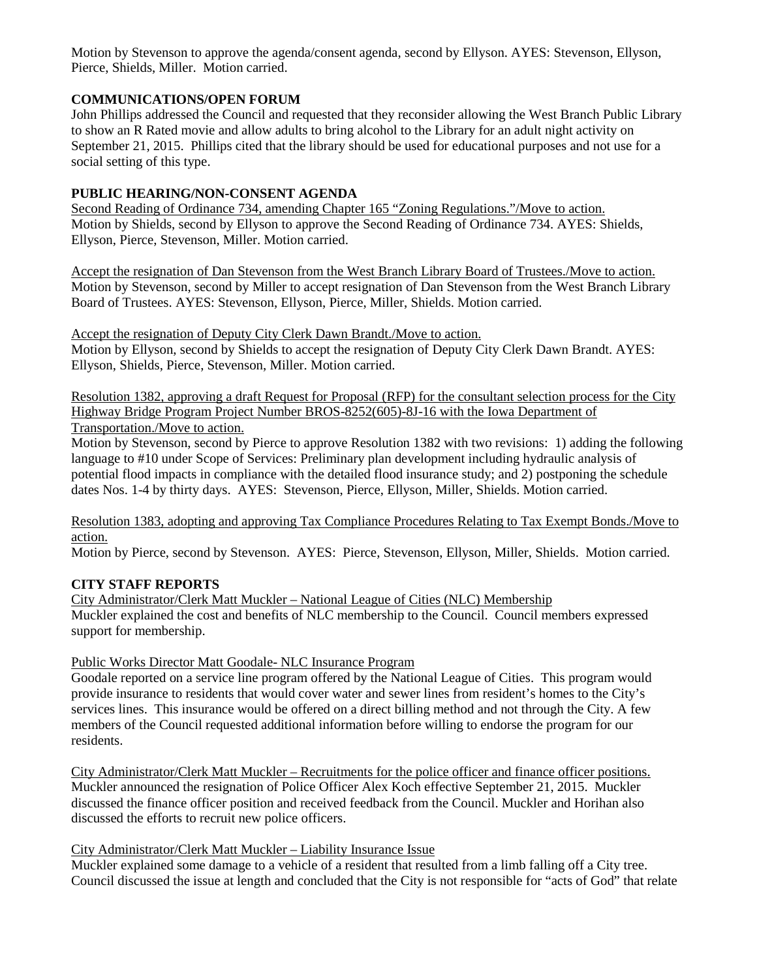Motion by Stevenson to approve the agenda/consent agenda, second by Ellyson. AYES: Stevenson, Ellyson, Pierce, Shields, Miller. Motion carried.

## **COMMUNICATIONS/OPEN FORUM**

John Phillips addressed the Council and requested that they reconsider allowing the West Branch Public Library to show an R Rated movie and allow adults to bring alcohol to the Library for an adult night activity on September 21, 2015. Phillips cited that the library should be used for educational purposes and not use for a social setting of this type.

### **PUBLIC HEARING/NON-CONSENT AGENDA**

Second Reading of Ordinance 734, amending Chapter 165 "Zoning Regulations."/Move to action. Motion by Shields, second by Ellyson to approve the Second Reading of Ordinance 734. AYES: Shields, Ellyson, Pierce, Stevenson, Miller. Motion carried.

Accept the resignation of Dan Stevenson from the West Branch Library Board of Trustees./Move to action. Motion by Stevenson, second by Miller to accept resignation of Dan Stevenson from the West Branch Library Board of Trustees. AYES: Stevenson, Ellyson, Pierce, Miller, Shields. Motion carried.

Accept the resignation of Deputy City Clerk Dawn Brandt./Move to action. Motion by Ellyson, second by Shields to accept the resignation of Deputy City Clerk Dawn Brandt. AYES: Ellyson, Shields, Pierce, Stevenson, Miller. Motion carried.

Resolution 1382, approving a draft Request for Proposal (RFP) for the consultant selection process for the City Highway Bridge Program Project Number BROS-8252(605)-8J-16 with the Iowa Department of Transportation./Move to action.

Motion by Stevenson, second by Pierce to approve Resolution 1382 with two revisions: 1) adding the following language to #10 under Scope of Services: Preliminary plan development including hydraulic analysis of potential flood impacts in compliance with the detailed flood insurance study; and 2) postponing the schedule dates Nos. 1-4 by thirty days. AYES: Stevenson, Pierce, Ellyson, Miller, Shields. Motion carried.

Resolution 1383, adopting and approving Tax Compliance Procedures Relating to Tax Exempt Bonds./Move to action.

Motion by Pierce, second by Stevenson. AYES: Pierce, Stevenson, Ellyson, Miller, Shields. Motion carried.

# **CITY STAFF REPORTS**

City Administrator/Clerk Matt Muckler – National League of Cities (NLC) Membership Muckler explained the cost and benefits of NLC membership to the Council. Council members expressed support for membership.

#### Public Works Director Matt Goodale- NLC Insurance Program

Goodale reported on a service line program offered by the National League of Cities. This program would provide insurance to residents that would cover water and sewer lines from resident's homes to the City's services lines. This insurance would be offered on a direct billing method and not through the City. A few members of the Council requested additional information before willing to endorse the program for our residents.

City Administrator/Clerk Matt Muckler – Recruitments for the police officer and finance officer positions. Muckler announced the resignation of Police Officer Alex Koch effective September 21, 2015. Muckler discussed the finance officer position and received feedback from the Council. Muckler and Horihan also discussed the efforts to recruit new police officers.

#### City Administrator/Clerk Matt Muckler – Liability Insurance Issue

Muckler explained some damage to a vehicle of a resident that resulted from a limb falling off a City tree. Council discussed the issue at length and concluded that the City is not responsible for "acts of God" that relate